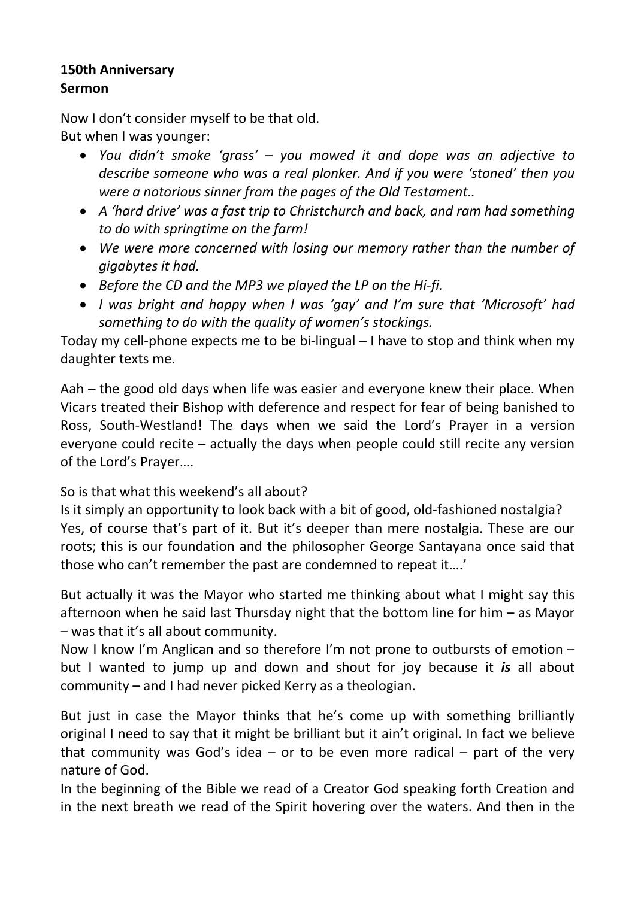# 150th Anniversary Sermon

Now I don't consider myself to be that old. But when I was younger:

- You didn't smoke 'grass' you mowed it and dope was an adjective to describe someone who was a real plonker. And if you were 'stoned' then you were a notorious sinner from the pages of the Old Testament..
- A 'hard drive' was a fast trip to Christchurch and back, and ram had something to do with springtime on the farm!
- We were more concerned with losing our memory rather than the number of gigabytes it had.
- Before the CD and the MP3 we played the LP on the Hi-fi.
- I was bright and happy when I was 'gay' and I'm sure that 'Microsoft' had something to do with the quality of women's stockings.

Today my cell-phone expects me to be bi-lingual – I have to stop and think when my daughter texts me.

Aah – the good old days when life was easier and everyone knew their place. When Vicars treated their Bishop with deference and respect for fear of being banished to Ross, South-Westland! The days when we said the Lord's Prayer in a version everyone could recite – actually the days when people could still recite any version of the Lord's Prayer….

So is that what this weekend's all about?

Is it simply an opportunity to look back with a bit of good, old-fashioned nostalgia? Yes, of course that's part of it. But it's deeper than mere nostalgia. These are our roots; this is our foundation and the philosopher George Santayana once said that those who can't remember the past are condemned to repeat it….'

But actually it was the Mayor who started me thinking about what I might say this afternoon when he said last Thursday night that the bottom line for him – as Mayor – was that it's all about community.

Now I know I'm Anglican and so therefore I'm not prone to outbursts of emotion – but I wanted to jump up and down and shout for joy because it is all about community – and I had never picked Kerry as a theologian.

But just in case the Mayor thinks that he's come up with something brilliantly original I need to say that it might be brilliant but it ain't original. In fact we believe that community was God's idea  $-$  or to be even more radical  $-$  part of the very nature of God.

In the beginning of the Bible we read of a Creator God speaking forth Creation and in the next breath we read of the Spirit hovering over the waters. And then in the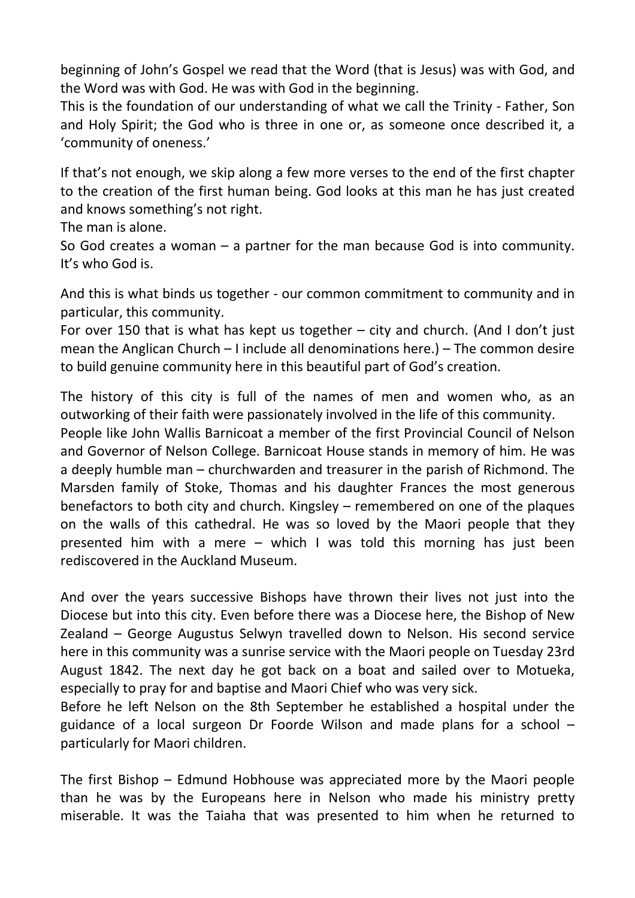beginning of John's Gospel we read that the Word (that is Jesus) was with God, and the Word was with God. He was with God in the beginning.

This is the foundation of our understanding of what we call the Trinity - Father, Son and Holy Spirit; the God who is three in one or, as someone once described it, a 'community of oneness.'

If that's not enough, we skip along a few more verses to the end of the first chapter to the creation of the first human being. God looks at this man he has just created and knows something's not right.

The man is alone.

So God creates a woman – a partner for the man because God is into community. It's who God is.

And this is what binds us together - our common commitment to community and in particular, this community.

For over 150 that is what has kept us together  $-$  city and church. (And I don't just mean the Anglican Church – I include all denominations here.) – The common desire to build genuine community here in this beautiful part of God's creation.

The history of this city is full of the names of men and women who, as an outworking of their faith were passionately involved in the life of this community.

People like John Wallis Barnicoat a member of the first Provincial Council of Nelson and Governor of Nelson College. Barnicoat House stands in memory of him. He was a deeply humble man – churchwarden and treasurer in the parish of Richmond. The Marsden family of Stoke, Thomas and his daughter Frances the most generous benefactors to both city and church. Kingsley – remembered on one of the plaques on the walls of this cathedral. He was so loved by the Maori people that they presented him with a mere – which I was told this morning has just been rediscovered in the Auckland Museum.

And over the years successive Bishops have thrown their lives not just into the Diocese but into this city. Even before there was a Diocese here, the Bishop of New Zealand – George Augustus Selwyn travelled down to Nelson. His second service here in this community was a sunrise service with the Maori people on Tuesday 23rd August 1842. The next day he got back on a boat and sailed over to Motueka, especially to pray for and baptise and Maori Chief who was very sick.

Before he left Nelson on the 8th September he established a hospital under the guidance of a local surgeon Dr Foorde Wilson and made plans for a school – particularly for Maori children.

The first Bishop – Edmund Hobhouse was appreciated more by the Maori people than he was by the Europeans here in Nelson who made his ministry pretty miserable. It was the Taiaha that was presented to him when he returned to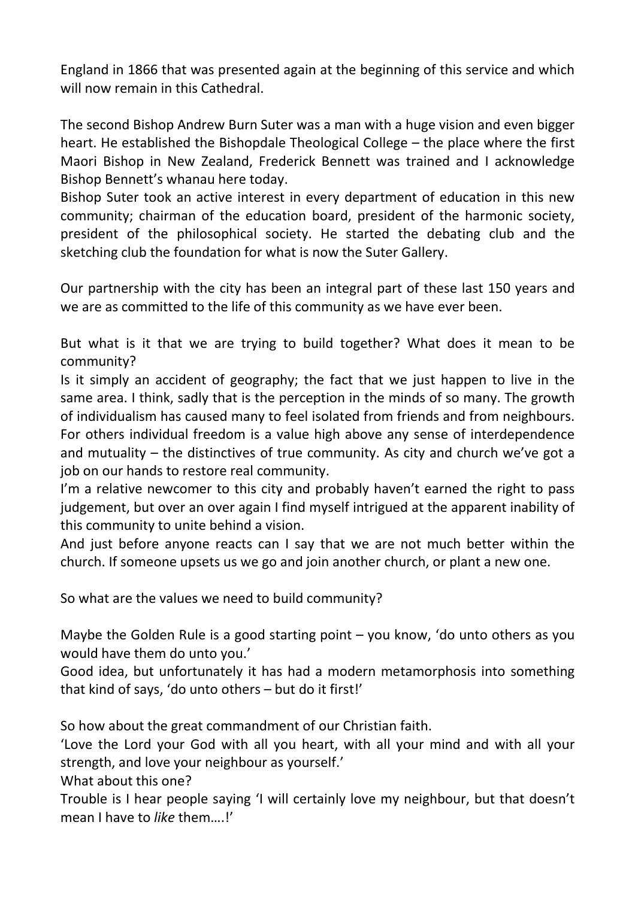England in 1866 that was presented again at the beginning of this service and which will now remain in this Cathedral.

The second Bishop Andrew Burn Suter was a man with a huge vision and even bigger heart. He established the Bishopdale Theological College – the place where the first Maori Bishop in New Zealand, Frederick Bennett was trained and I acknowledge Bishop Bennett's whanau here today.

Bishop Suter took an active interest in every department of education in this new community; chairman of the education board, president of the harmonic society, president of the philosophical society. He started the debating club and the sketching club the foundation for what is now the Suter Gallery.

Our partnership with the city has been an integral part of these last 150 years and we are as committed to the life of this community as we have ever been.

But what is it that we are trying to build together? What does it mean to be community?

Is it simply an accident of geography; the fact that we just happen to live in the same area. I think, sadly that is the perception in the minds of so many. The growth of individualism has caused many to feel isolated from friends and from neighbours. For others individual freedom is a value high above any sense of interdependence and mutuality – the distinctives of true community. As city and church we've got a job on our hands to restore real community.

I'm a relative newcomer to this city and probably haven't earned the right to pass judgement, but over an over again I find myself intrigued at the apparent inability of this community to unite behind a vision.

And just before anyone reacts can I say that we are not much better within the church. If someone upsets us we go and join another church, or plant a new one.

So what are the values we need to build community?

Maybe the Golden Rule is a good starting point – you know, 'do unto others as you would have them do unto you.'

Good idea, but unfortunately it has had a modern metamorphosis into something that kind of says, 'do unto others – but do it first!'

So how about the great commandment of our Christian faith.

'Love the Lord your God with all you heart, with all your mind and with all your strength, and love your neighbour as yourself.'

What about this one?

Trouble is I hear people saying 'I will certainly love my neighbour, but that doesn't mean I have to *like* them....!'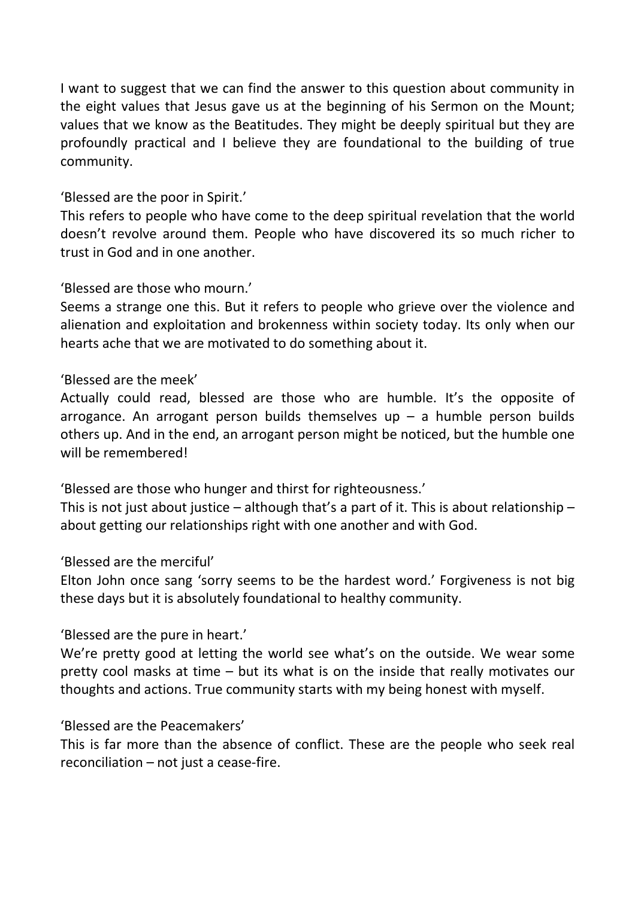I want to suggest that we can find the answer to this question about community in the eight values that Jesus gave us at the beginning of his Sermon on the Mount; values that we know as the Beatitudes. They might be deeply spiritual but they are profoundly practical and I believe they are foundational to the building of true community.

## 'Blessed are the poor in Spirit.'

This refers to people who have come to the deep spiritual revelation that the world doesn't revolve around them. People who have discovered its so much richer to trust in God and in one another.

# 'Blessed are those who mourn.'

Seems a strange one this. But it refers to people who grieve over the violence and alienation and exploitation and brokenness within society today. Its only when our hearts ache that we are motivated to do something about it.

### 'Blessed are the meek'

Actually could read, blessed are those who are humble. It's the opposite of arrogance. An arrogant person builds themselves up  $-$  a humble person builds others up. And in the end, an arrogant person might be noticed, but the humble one will be remembered!

'Blessed are those who hunger and thirst for righteousness.'

This is not just about justice – although that's a part of it. This is about relationship – about getting our relationships right with one another and with God.

### 'Blessed are the merciful'

Elton John once sang 'sorry seems to be the hardest word.' Forgiveness is not big these days but it is absolutely foundational to healthy community.

### 'Blessed are the pure in heart.'

We're pretty good at letting the world see what's on the outside. We wear some pretty cool masks at time – but its what is on the inside that really motivates our thoughts and actions. True community starts with my being honest with myself.

### 'Blessed are the Peacemakers'

This is far more than the absence of conflict. These are the people who seek real reconciliation – not just a cease-fire.